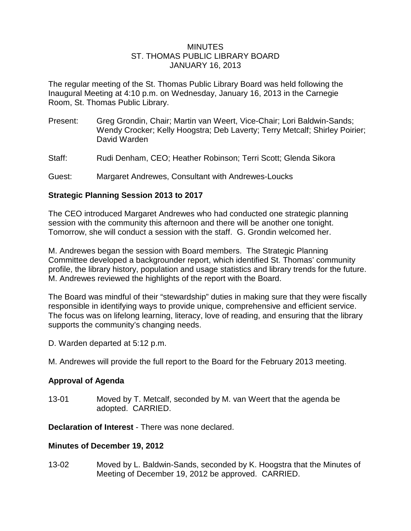#### **MINUTES** ST. THOMAS PUBLIC LIBRARY BOARD JANUARY 16, 2013

The regular meeting of the St. Thomas Public Library Board was held following the Inaugural Meeting at 4:10 p.m. on Wednesday, January 16, 2013 in the Carnegie Room, St. Thomas Public Library.

- Present: Greg Grondin, Chair; Martin van Weert, Vice-Chair; Lori Baldwin-Sands; Wendy Crocker; Kelly Hoogstra; Deb Laverty; Terry Metcalf; Shirley Poirier; David Warden
- Staff: Rudi Denham, CEO; Heather Robinson; Terri Scott; Glenda Sikora
- Guest: Margaret Andrewes, Consultant with Andrewes-Loucks

### **Strategic Planning Session 2013 to 2017**

The CEO introduced Margaret Andrewes who had conducted one strategic planning session with the community this afternoon and there will be another one tonight. Tomorrow, she will conduct a session with the staff. G. Grondin welcomed her.

M. Andrewes began the session with Board members. The Strategic Planning Committee developed a backgrounder report, which identified St. Thomas' community profile, the library history, population and usage statistics and library trends for the future. M. Andrewes reviewed the highlights of the report with the Board.

The Board was mindful of their "stewardship" duties in making sure that they were fiscally responsible in identifying ways to provide unique, comprehensive and efficient service. The focus was on lifelong learning, literacy, love of reading, and ensuring that the library supports the community's changing needs.

- D. Warden departed at 5:12 p.m.
- M. Andrewes will provide the full report to the Board for the February 2013 meeting.

# **Approval of Agenda**

13-01 Moved by T. Metcalf, seconded by M. van Weert that the agenda be adopted. CARRIED.

**Declaration of Interest** - There was none declared.

#### **Minutes of December 19, 2012**

13-02 Moved by L. Baldwin-Sands, seconded by K. Hoogstra that the Minutes of Meeting of December 19, 2012 be approved. CARRIED.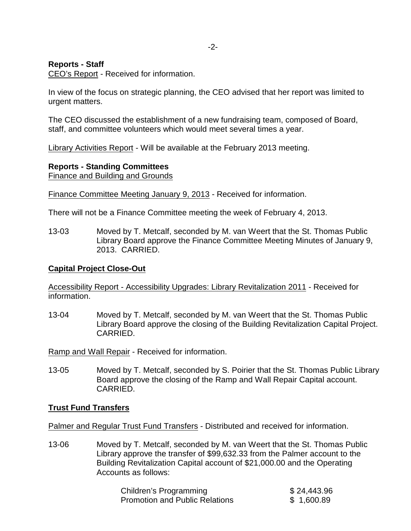### **Reports - Staff**

CEO's Report - Received for information.

In view of the focus on strategic planning, the CEO advised that her report was limited to urgent matters.

The CEO discussed the establishment of a new fundraising team, composed of Board, staff, and committee volunteers which would meet several times a year.

Library Activities Report - Will be available at the February 2013 meeting.

### **Reports - Standing Committees**

Finance and Building and Grounds

Finance Committee Meeting January 9, 2013 - Received for information.

There will not be a Finance Committee meeting the week of February 4, 2013.

13-03 Moved by T. Metcalf, seconded by M. van Weert that the St. Thomas Public Library Board approve the Finance Committee Meeting Minutes of January 9, 2013. CARRIED.

# **Capital Project Close-Out**

Accessibility Report - Accessibility Upgrades: Library Revitalization 2011 - Received for information.

13-04 Moved by T. Metcalf, seconded by M. van Weert that the St. Thomas Public Library Board approve the closing of the Building Revitalization Capital Project. CARRIED.

Ramp and Wall Repair - Received for information.

13-05 Moved by T. Metcalf, seconded by S. Poirier that the St. Thomas Public Library Board approve the closing of the Ramp and Wall Repair Capital account. CARRIED.

#### **Trust Fund Transfers**

Palmer and Regular Trust Fund Transfers - Distributed and received for information.

13-06 Moved by T. Metcalf, seconded by M. van Weert that the St. Thomas Public Library approve the transfer of \$99,632.33 from the Palmer account to the Building Revitalization Capital account of \$21,000.00 and the Operating Accounts as follows:

| Children's Programming                | \$24,443.96 |
|---------------------------------------|-------------|
| <b>Promotion and Public Relations</b> | \$1,600.89  |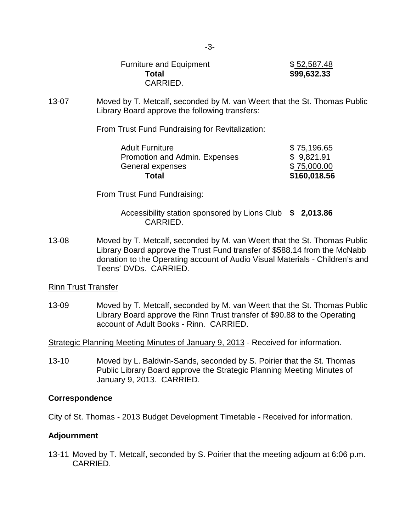Furniture and Equipment  $$52,587.48$ **Total \$99,632.33** CARRIED.

13-07 Moved by T. Metcalf, seconded by M. van Weert that the St. Thomas Public Library Board approve the following transfers:

From Trust Fund Fundraising for Revitalization:

| \$75,000.00 |
|-------------|
| \$9,821.91  |
| \$75,196.65 |
|             |

From Trust Fund Fundraising:

Accessibility station sponsored by Lions Club **\$ 2,013.86** CARRIED.

13-08 Moved by T. Metcalf, seconded by M. van Weert that the St. Thomas Public Library Board approve the Trust Fund transfer of \$588.14 from the McNabb donation to the Operating account of Audio Visual Materials - Children's and Teens' DVDs. CARRIED.

Rinn Trust Transfer

13-09 Moved by T. Metcalf, seconded by M. van Weert that the St. Thomas Public Library Board approve the Rinn Trust transfer of \$90.88 to the Operating account of Adult Books - Rinn. CARRIED.

Strategic Planning Meeting Minutes of January 9, 2013 - Received for information.

13-10 Moved by L. Baldwin-Sands, seconded by S. Poirier that the St. Thomas Public Library Board approve the Strategic Planning Meeting Minutes of January 9, 2013. CARRIED.

# **Correspondence**

City of St. Thomas - 2013 Budget Development Timetable - Received for information.

# **Adjournment**

13-11 Moved by T. Metcalf, seconded by S. Poirier that the meeting adjourn at 6:06 p.m. CARRIED.